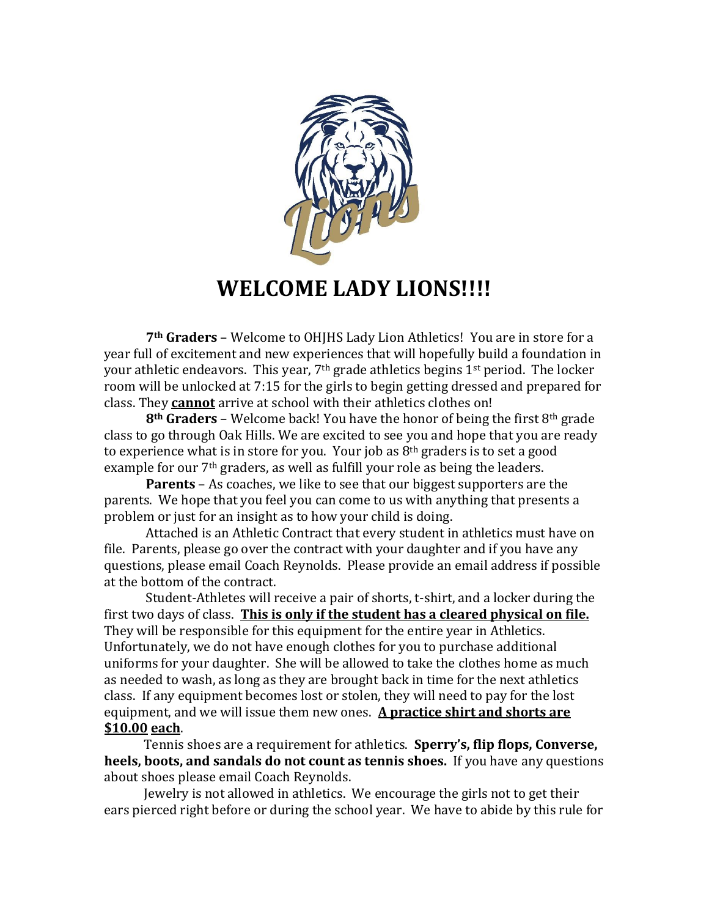

## **WELCOME LADY LIONS!!!!**

**7th Graders** – Welcome to OHJHS Lady Lion Athletics! You are in store for a year full of excitement and new experiences that will hopefully build a foundation in your athletic endeavors. This year,  $7<sup>th</sup>$  grade athletics begins  $1<sup>st</sup>$  period. The locker room will be unlocked at 7:15 for the girls to begin getting dressed and prepared for class. They **cannot** arrive at school with their athletics clothes on!

**8th Graders** – Welcome back! You have the honor of being the first 8th grade class to go through Oak Hills. We are excited to see you and hope that you are ready to experience what is in store for you. Your job as  $8<sup>th</sup>$  graders is to set a good example for our 7<sup>th</sup> graders, as well as fulfill your role as being the leaders.

**Parents** – As coaches, we like to see that our biggest supporters are the parents. We hope that you feel you can come to us with anything that presents a problem or just for an insight as to how your child is doing.

Attached is an Athletic Contract that every student in athletics must have on file. Parents, please go over the contract with your daughter and if you have any questions, please email Coach Reynolds. Please provide an email address if possible at the bottom of the contract.

Student-Athletes will receive a pair of shorts, t-shirt, and a locker during the first two days of class. **This is only if the student has a cleared physical on file.** They will be responsible for this equipment for the entire year in Athletics. Unfortunately, we do not have enough clothes for you to purchase additional uniforms for your daughter. She will be allowed to take the clothes home as much as needed to wash, as long as they are brought back in time for the next athletics class. If any equipment becomes lost or stolen, they will need to pay for the lost equipment, and we will issue them new ones. **A practice shirt and shorts are \$10.00 each**.

 Tennis shoes are a requirement for athletics. **Sperry's, flip flops, Converse, heels, boots, and sandals do not count as tennis shoes.** If you have any questions about shoes please email Coach Reynolds.

 Jewelry is not allowed in athletics. We encourage the girls not to get their ears pierced right before or during the school year. We have to abide by this rule for